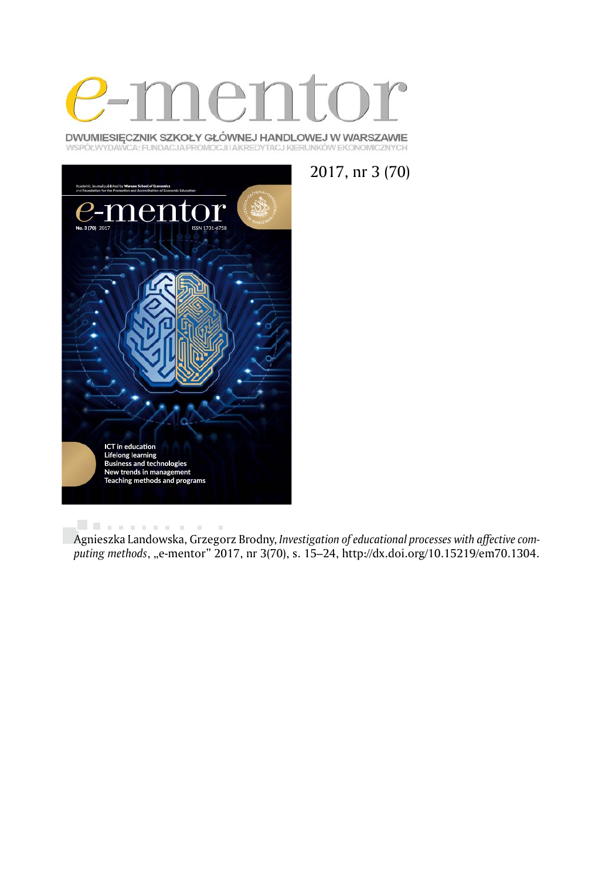

DWUMIESIĘCZNIK SZKOŁY GŁÓWNEJ HANDLOWEJ W WARSZAWIE WSPÓŁWYDAWCA: FUNDACJA PROMOCJI I AKREDYTACJ KIERUNKÓW EKONOMICZNYCH





. . . . . . . . . . .  $\bar{a}$ Agnieszka Landowska, Grzegorz Brodny, *Investigation of educational processes with affective com*puting methods, "e-mentor" 2017, nr 3(70), s. 15–24, http://dx.doi.org/10.15219/em70.1304.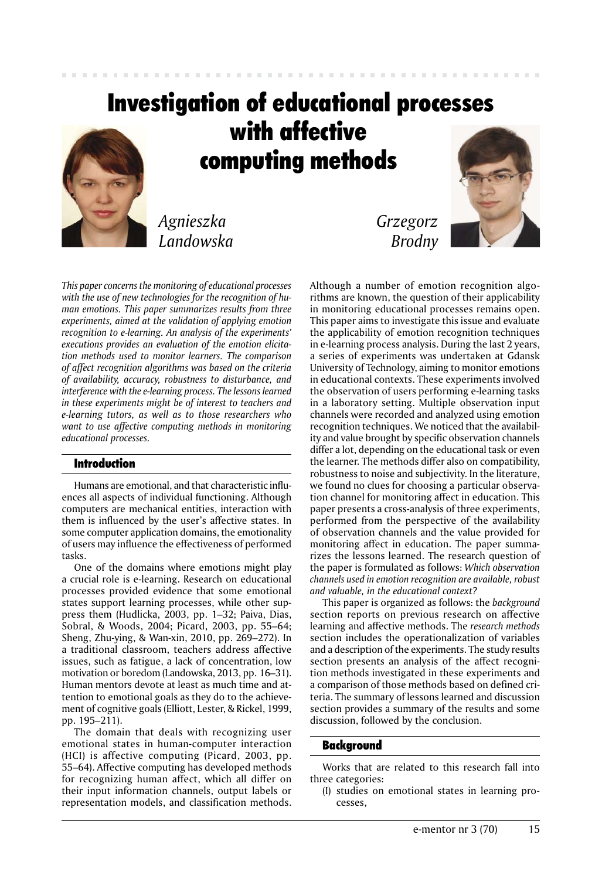# Investigation of educational processes with affective computing methods

*Agnieszka Landowska*

*This paper concerns the monitoring of educational processes with the use of new technologies for the recognition of human emotions. This paper summarizes results from three experiments, aimed at the validation of applying emotion recognition to e-learning. An analysis of the experiments' executions provides an evaluation of the emotion elicitation methods used to monitor learners. The comparison of affect recognition algorithms was based on the criteria of availability, accuracy, robustness to disturbance, and interference with the e-learning process. The lessons learned in these experiments might be of interest to teachers and e-learning tutors, as well as to those researchers who want to use affective computing methods in monitoring educational processes.* 

# Introduction

Humans are emotional, and that characteristic influences all aspects of individual functioning. Although computers are mechanical entities, interaction with them is influenced by the user's affective states. In some computer application domains, the emotionality of users may influence the effectiveness of performed tasks.

One of the domains where emotions might play a crucial role is e-learning. Research on educational processes provided evidence that some emotional states support learning processes, while other suppress them (Hudlicka, 2003, pp. 1–32; Paiva, Dias, Sobral, & Woods, 2004; Picard, 2003, pp. 55–64; Sheng, Zhu-ying, & Wan-xin, 2010, pp. 269–272). In a traditional classroom, teachers address affective issues, such as fatigue, a lack of concentration, low motivation or boredom (Landowska, 2013, pp. 16–31). Human mentors devote at least as much time and attention to emotional goals as they do to the achievement of cognitive goals (Elliott, Lester, & Rickel, 1999, pp. 195–211).

The domain that deals with recognizing user emotional states in human-computer interaction (HCI) is affective computing (Picard, 2003, pp. 55–64). Affective computing has developed methods for recognizing human affect, which all differ on their input information channels, output labels or representation models, and classification methods.

*Grzegorz Brodny*



Although a number of emotion recognition algorithms are known, the question of their applicability in monitoring educational processes remains open. This paper aims to investigate this issue and evaluate the applicability of emotion recognition techniques in e-learning process analysis. During the last 2 years, a series of experiments was undertaken at Gdansk University of Technology, aiming to monitor emotions in educational contexts. These experiments involved the observation of users performing e-learning tasks in a laboratory setting. Multiple observation input channels were recorded and analyzed using emotion recognition techniques. We noticed that the availability and value brought by specific observation channels differ a lot, depending on the educational task or even the learner. The methods differ also on compatibility, robustness to noise and subjectivity. In the literature, we found no clues for choosing a particular observation channel for monitoring affect in education. This paper presents a cross-analysis of three experiments, performed from the perspective of the availability of observation channels and the value provided for monitoring affect in education. The paper summarizes the lessons learned. The research question of the paper is formulated as follows: *Which observation channels used in emotion recognition are available, robust and valuable, in the educational context?*

This paper is organized as follows: the *background* section reports on previous research on affective learning and affective methods. The *research methods* section includes the operationalization of variables and a description of the experiments. The study results section presents an analysis of the affect recognition methods investigated in these experiments and a comparison of those methods based on defined criteria. The summary of lessons learned and discussion section provides a summary of the results and some discussion, followed by the conclusion.

#### Background

Works that are related to this research fall into three categories:

(I) studies on emotional states in learning processes,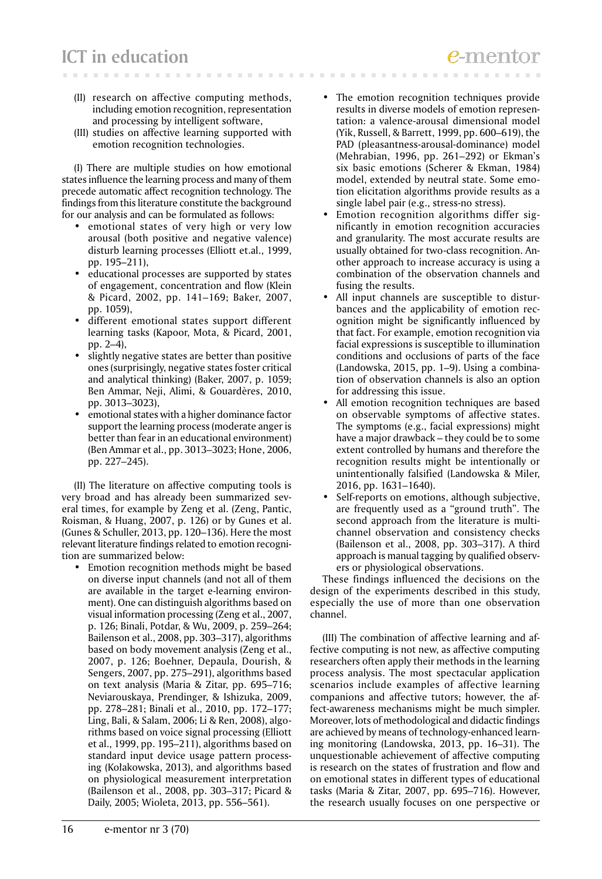- (II) research on affective computing methods, including emotion recognition, representation and processing by intelligent software,
- (III) studies on affective learning supported with emotion recognition technologies.

(I) There are multiple studies on how emotional states influence the learning process and many of them precede automatic affect recognition technology. The findings from this literature constitute the background for our analysis and can be formulated as follows:

- emotional states of very high or very low arousal (both positive and negative valence) disturb learning processes (Elliott et.al., 1999, pp. 195–211),
- educational processes are supported by states of engagement, concentration and flow (Klein & Picard, 2002, pp. 141–169; Baker, 2007, pp. 1059),
- different emotional states support different learning tasks (Kapoor, Mota, & Picard, 2001, pp. 2–4),
- slightly negative states are better than positive ones (surprisingly, negative states foster critical and analytical thinking) (Baker, 2007, p. 1059; Ben Ammar, Neji, Alimi, & Gouardères, 2010, pp. 3013–3023),
- emotional states with a higher dominance factor support the learning process (moderate anger is better than fear in an educational environment) (Ben Ammar et al., pp. 3013–3023; Hone, 2006, pp. 227–245).

(II) The literature on affective computing tools is very broad and has already been summarized several times, for example by Zeng et al. (Zeng, Pantic, Roisman, & Huang, 2007, p. 126) or by Gunes et al. (Gunes & Schuller, 2013, pp. 120–136). Here the most relevant literature findings related to emotion recognition are summarized below:

• Emotion recognition methods might be based on diverse input channels (and not all of them are available in the target e-learning environment). One can distinguish algorithms based on visual information processing (Zeng et al., 2007, p. 126; Binali, Potdar, & Wu, 2009, p. 259–264; Bailenson et al., 2008, pp. 303–317), algorithms based on body movement analysis (Zeng et al., 2007, p. 126; Boehner, Depaula, Dourish, & Sengers, 2007, pp. 275–291), algorithms based on text analysis (Maria & Zitar, pp. 695–716; Neviarouskaya, Prendinger, & Ishizuka, 2009, pp. 278–281; Binali et al., 2010, pp. 172–177; Ling, Bali, & Salam, 2006; Li & Ren, 2008), algorithms based on voice signal processing (Elliott et al., 1999, pp. 195–211), algorithms based on standard input device usage pattern processing (Kołakowska, 2013), and algorithms based on physiological measurement interpretation (Bailenson et al., 2008, pp. 303–317; Picard & Daily, 2005; Wioleta, 2013, pp. 556–561).

- The emotion recognition techniques provide results in diverse models of emotion representation: a valence-arousal dimensional model (Yik, Russell, & Barrett, 1999, pp. 600–619), the PAD (pleasantness-arousal-dominance) model (Mehrabian, 1996, pp. 261–292) or Ekman's six basic emotions (Scherer & Ekman, 1984) model, extended by neutral state. Some emotion elicitation algorithms provide results as a single label pair (e.g., stress-no stress).
- Emotion recognition algorithms differ significantly in emotion recognition accuracies and granularity. The most accurate results are usually obtained for two-class recognition. Another approach to increase accuracy is using a combination of the observation channels and fusing the results.
- All input channels are susceptible to disturbances and the applicability of emotion recognition might be significantly influenced by that fact. For example, emotion recognition via facial expressions is susceptible to illumination conditions and occlusions of parts of the face (Landowska, 2015, pp. 1–9). Using a combination of observation channels is also an option for addressing this issue.
- All emotion recognition techniques are based on observable symptoms of affective states. The symptoms (e.g., facial expressions) might have a major drawback – they could be to some extent controlled by humans and therefore the recognition results might be intentionally or unintentionally falsified (Landowska & Miler, 2016, pp. 1631–1640).
- Self-reports on emotions, although subjective, are frequently used as a "ground truth". The second approach from the literature is multichannel observation and consistency checks (Bailenson et al., 2008, pp. 303–317). A third approach is manual tagging by qualified observers or physiological observations.

These findings influenced the decisions on the design of the experiments described in this study, especially the use of more than one observation channel.

(III) The combination of affective learning and affective computing is not new, as affective computing researchers often apply their methods in the learning process analysis. The most spectacular application scenarios include examples of affective learning companions and affective tutors; however, the affect-awareness mechanisms might be much simpler. Moreover, lots of methodological and didactic findings are achieved by means of technology-enhanced learning monitoring (Landowska, 2013, pp. 16–31). The unquestionable achievement of affective computing is research on the states of frustration and flow and on emotional states in different types of educational tasks (Maria & Zitar, 2007, pp. 695–716). However, the research usually focuses on one perspective or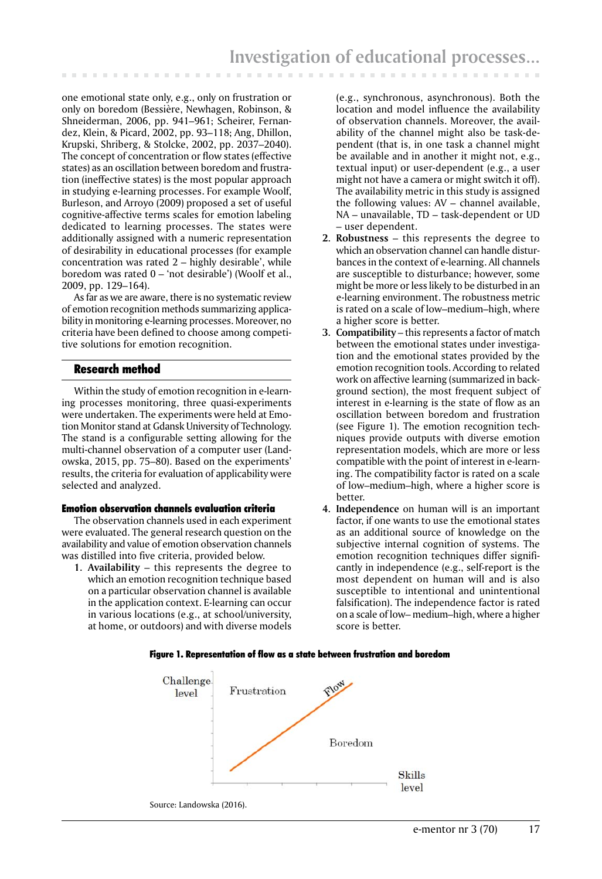one emotional state only, e.g., only on frustration or only on boredom (Bessière, Newhagen, Robinson, & Shneiderman, 2006, pp. 941–961; Scheirer, Fernandez, Klein, & Picard, 2002, pp. 93–118; Ang, Dhillon, Krupski, Shriberg, & Stolcke, 2002, pp. 2037–2040). The concept of concentration or flow states (effective states) as an oscillation between boredom and frustration (ineffective states) is the most popular approach in studying e-learning processes. For example Woolf, Burleson, and Arroyo (2009) proposed a set of useful cognitive-affective terms scales for emotion labeling dedicated to learning processes. The states were additionally assigned with a numeric representation of desirability in educational processes (for example concentration was rated 2 – highly desirable', while boredom was rated 0 – 'not desirable') (Woolf et al., 2009, pp. 129–164).

As far as we are aware, there is no systematic review of emotion recognition methods summarizing applicability in monitoring e-learning processes. Moreover, no criteria have been defined to choose among competitive solutions for emotion recognition.

# Research method

Within the study of emotion recognition in e-learning processes monitoring, three quasi-experiments were undertaken. The experiments were held at Emotion Monitor stand at Gdansk University of Technology. The stand is a configurable setting allowing for the multi-channel observation of a computer user (Landowska, 2015, pp. 75–80). Based on the experiments' results, the criteria for evaluation of applicability were selected and analyzed.

#### Emotion observation channels evaluation criteria

The observation channels used in each experiment were evaluated. The general research question on the availability and value of emotion observation channels was distilled into five criteria, provided below.

**1. Availability** – this represents the degree to which an emotion recognition technique based on a particular observation channel is available in the application context. E-learning can occur in various locations (e.g., at school/university, at home, or outdoors) and with diverse models

(e.g., synchronous, asynchronous). Both the location and model influence the availability of observation channels. Moreover, the availability of the channel might also be task-dependent (that is, in one task a channel might be available and in another it might not, e.g., textual input) or user-dependent (e.g., a user might not have a camera or might switch it off). The availability metric in this study is assigned the following values: AV – channel available, NA – unavailable, TD – task-dependent or UD – user dependent.

- **2. Robustness** this represents the degree to which an observation channel can handle disturbances in the context of e-learning. All channels are susceptible to disturbance; however, some might be more or less likely to be disturbed in an e-learning environment. The robustness metric is rated on a scale of low–medium–high, where a higher score is better.
- **3. Compatibility** this represents a factor of match between the emotional states under investigation and the emotional states provided by the emotion recognition tools. According to related work on affective learning (summarized in background section), the most frequent subject of interest in e-learning is the state of flow as an oscillation between boredom and frustration (see Figure 1). The emotion recognition techniques provide outputs with diverse emotion representation models, which are more or less compatible with the point of interest in e-learning. The compatibility factor is rated on a scale of low–medium–high, where a higher score is better.
- **4. Independence** on human will is an important factor, if one wants to use the emotional states as an additional source of knowledge on the subjective internal cognition of systems. The emotion recognition techniques differ significantly in independence (e.g., self-report is the most dependent on human will and is also susceptible to intentional and unintentional falsification). The independence factor is rated on a scale of low– medium–high, where a higher score is better.

#### Figure 1. Representation of flow as a state between frustration and boredom

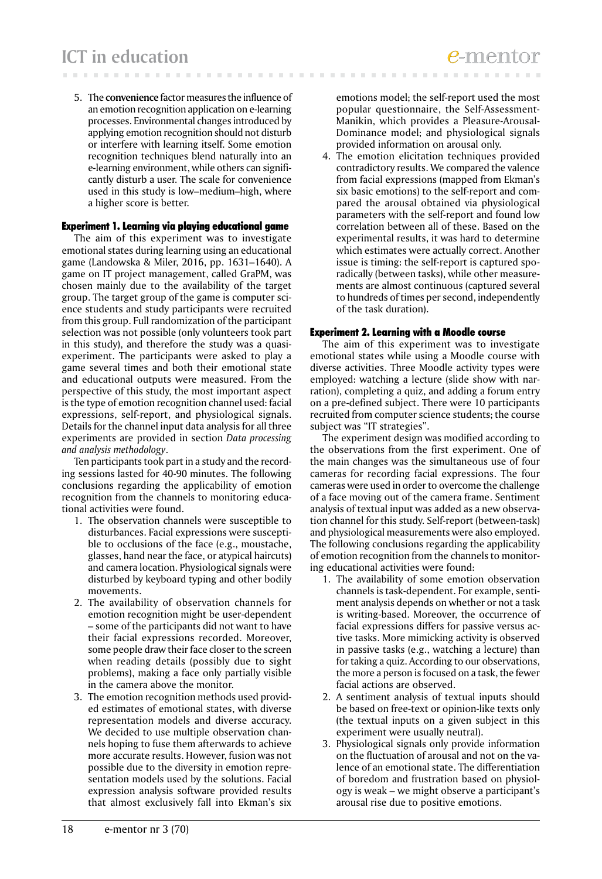5. The **convenience** factor measures the influence of an emotion recognition application on e-learning processes. Environmental changes introduced by applying emotion recognition should not disturb or interfere with learning itself. Some emotion recognition techniques blend naturally into an e-learning environment, while others can significantly disturb a user. The scale for convenience used in this study is low–medium–high, where a higher score is better.

## Experiment 1. Learning via playing educational game

The aim of this experiment was to investigate emotional states during learning using an educational game (Landowska & Miler, 2016, pp. 1631–1640). A game on IT project management, called GraPM, was chosen mainly due to the availability of the target group. The target group of the game is computer science students and study participants were recruited from this group. Full randomization of the participant selection was not possible (only volunteers took part in this study), and therefore the study was a quasiexperiment. The participants were asked to play a game several times and both their emotional state and educational outputs were measured. From the perspective of this study, the most important aspect is the type of emotion recognition channel used: facial expressions, self-report, and physiological signals. Details for the channel input data analysis for all three experiments are provided in section *Data processing and analysis methodology*.

Ten participants took part in a study and the recording sessions lasted for 40-90 minutes. The following conclusions regarding the applicability of emotion recognition from the channels to monitoring educational activities were found.

- 1. The observation channels were susceptible to disturbances. Facial expressions were susceptible to occlusions of the face (e.g., moustache, glasses, hand near the face, or atypical haircuts) and camera location. Physiological signals were disturbed by keyboard typing and other bodily movements.
- 2. The availability of observation channels for emotion recognition might be user-dependent – some of the participants did not want to have their facial expressions recorded. Moreover, some people draw their face closer to the screen when reading details (possibly due to sight problems), making a face only partially visible in the camera above the monitor.
- 3. The emotion recognition methods used provided estimates of emotional states, with diverse representation models and diverse accuracy. We decided to use multiple observation channels hoping to fuse them afterwards to achieve more accurate results. However, fusion was not possible due to the diversity in emotion representation models used by the solutions. Facial expression analysis software provided results that almost exclusively fall into Ekman's six

emotions model; the self-report used the most popular questionnaire, the Self-Assessment-Manikin, which provides a Pleasure-Arousal-Dominance model; and physiological signals provided information on arousal only.

4. The emotion elicitation techniques provided contradictory results. We compared the valence from facial expressions (mapped from Ekman's six basic emotions) to the self-report and compared the arousal obtained via physiological parameters with the self-report and found low correlation between all of these. Based on the experimental results, it was hard to determine which estimates were actually correct. Another issue is timing: the self-report is captured sporadically (between tasks), while other measurements are almost continuous (captured several to hundreds of times per second, independently of the task duration).

#### Experiment 2. Learning with a Moodle course

The aim of this experiment was to investigate emotional states while using a Moodle course with diverse activities. Three Moodle activity types were employed: watching a lecture (slide show with narration), completing a quiz, and adding a forum entry on a pre-defined subject. There were 10 participants recruited from computer science students; the course subject was "IT strategies".

The experiment design was modified according to the observations from the first experiment. One of the main changes was the simultaneous use of four cameras for recording facial expressions. The four cameras were used in order to overcome the challenge of a face moving out of the camera frame. Sentiment analysis of textual input was added as a new observation channel for this study. Self-report (between-task) and physiological measurements were also employed. The following conclusions regarding the applicability of emotion recognition from the channels to monitoring educational activities were found:

- 1. The availability of some emotion observation channels is task-dependent. For example, sentiment analysis depends on whether or not a task is writing-based. Moreover, the occurrence of facial expressions differs for passive versus active tasks. More mimicking activity is observed in passive tasks (e.g., watching a lecture) than for taking a quiz. According to our observations, the more a person is focused on a task, the fewer facial actions are observed.
- 2. A sentiment analysis of textual inputs should be based on free-text or opinion-like texts only (the textual inputs on a given subject in this experiment were usually neutral).
- 3. Physiological signals only provide information on the fluctuation of arousal and not on the valence of an emotional state. The differentiation of boredom and frustration based on physiology is weak – we might observe a participant's arousal rise due to positive emotions.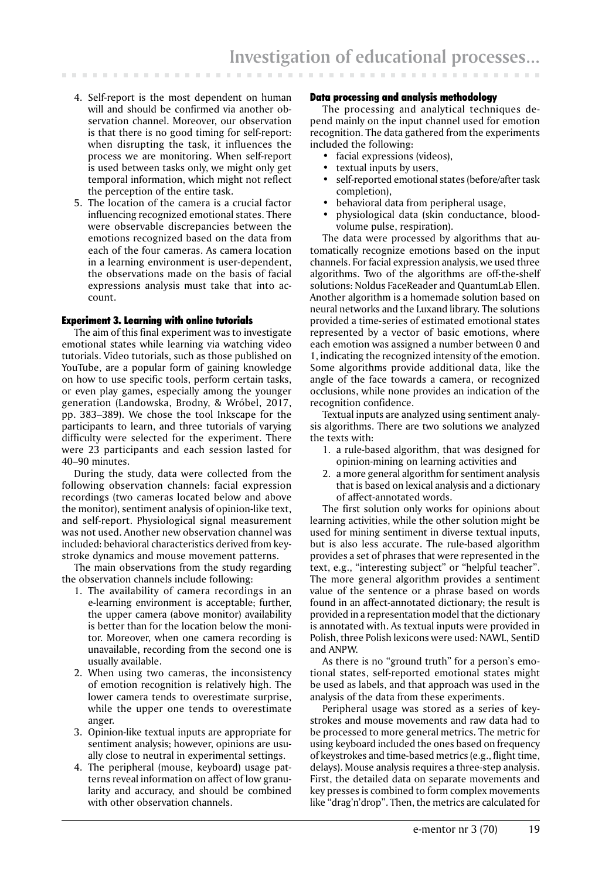- 4. Self-report is the most dependent on human will and should be confirmed via another observation channel. Moreover, our observation is that there is no good timing for self-report: when disrupting the task, it influences the process we are monitoring. When self-report is used between tasks only, we might only get temporal information, which might not reflect the perception of the entire task.
- 5. The location of the camera is a crucial factor influencing recognized emotional states. There were observable discrepancies between the emotions recognized based on the data from each of the four cameras. As camera location in a learning environment is user-dependent, the observations made on the basis of facial expressions analysis must take that into account.

## Experiment 3. Learning with online tutorials

The aim of this final experiment was to investigate emotional states while learning via watching video tutorials. Video tutorials, such as those published on YouTube, are a popular form of gaining knowledge on how to use specific tools, perform certain tasks, or even play games, especially among the younger generation (Landowska, Brodny, & Wróbel, 2017, pp. 383–389). We chose the tool Inkscape for the participants to learn, and three tutorials of varying difficulty were selected for the experiment. There were 23 participants and each session lasted for 40–90 minutes.

During the study, data were collected from the following observation channels: facial expression recordings (two cameras located below and above the monitor), sentiment analysis of opinion-like text, and self-report. Physiological signal measurement was not used. Another new observation channel was included: behavioral characteristics derived from keystroke dynamics and mouse movement patterns.

The main observations from the study regarding the observation channels include following:

- 1. The availability of camera recordings in an e-learning environment is acceptable; further, the upper camera (above monitor) availability is better than for the location below the monitor. Moreover, when one camera recording is unavailable, recording from the second one is usually available.
- 2. When using two cameras, the inconsistency of emotion recognition is relatively high. The lower camera tends to overestimate surprise, while the upper one tends to overestimate anger.
- 3. Opinion-like textual inputs are appropriate for sentiment analysis; however, opinions are usually close to neutral in experimental settings.
- 4. The peripheral (mouse, keyboard) usage patterns reveal information on affect of low granularity and accuracy, and should be combined with other observation channels.

## Data processing and analysis methodology

The processing and analytical techniques depend mainly on the input channel used for emotion recognition. The data gathered from the experiments included the following:

- facial expressions (videos),
- textual inputs by users,
- self-reported emotional states (before/after task completion),
- behavioral data from peripheral usage,
- physiological data (skin conductance, bloodvolume pulse, respiration).

The data were processed by algorithms that automatically recognize emotions based on the input channels. For facial expression analysis, we used three algorithms. Two of the algorithms are off-the-shelf solutions: Noldus FaceReader and QuantumLab Ellen. Another algorithm is a homemade solution based on neural networks and the Luxand library. The solutions provided a time-series of estimated emotional states represented by a vector of basic emotions, where each emotion was assigned a number between 0 and 1, indicating the recognized intensity of the emotion. Some algorithms provide additional data, like the angle of the face towards a camera, or recognized occlusions, while none provides an indication of the recognition confidence.

Textual inputs are analyzed using sentiment analysis algorithms. There are two solutions we analyzed the texts with:

- 1. a rule-based algorithm, that was designed for opinion-mining on learning activities and
- 2. a more general algorithm for sentiment analysis that is based on lexical analysis and a dictionary of affect-annotated words.

The first solution only works for opinions about learning activities, while the other solution might be used for mining sentiment in diverse textual inputs, but is also less accurate. The rule-based algorithm provides a set of phrases that were represented in the text, e.g., "interesting subject" or "helpful teacher". The more general algorithm provides a sentiment value of the sentence or a phrase based on words found in an affect-annotated dictionary; the result is provided in a representation model that the dictionary is annotated with. As textual inputs were provided in Polish, three Polish lexicons were used: NAWL, SentiD and ANPW.

As there is no "ground truth" for a person's emotional states, self-reported emotional states might be used as labels, and that approach was used in the analysis of the data from these experiments.

Peripheral usage was stored as a series of keystrokes and mouse movements and raw data had to be processed to more general metrics. The metric for using keyboard included the ones based on frequency of keystrokes and time-based metrics (e.g., flight time, delays). Mouse analysis requires a three-step analysis. First, the detailed data on separate movements and key presses is combined to form complex movements like "drag'n'drop". Then, the metrics are calculated for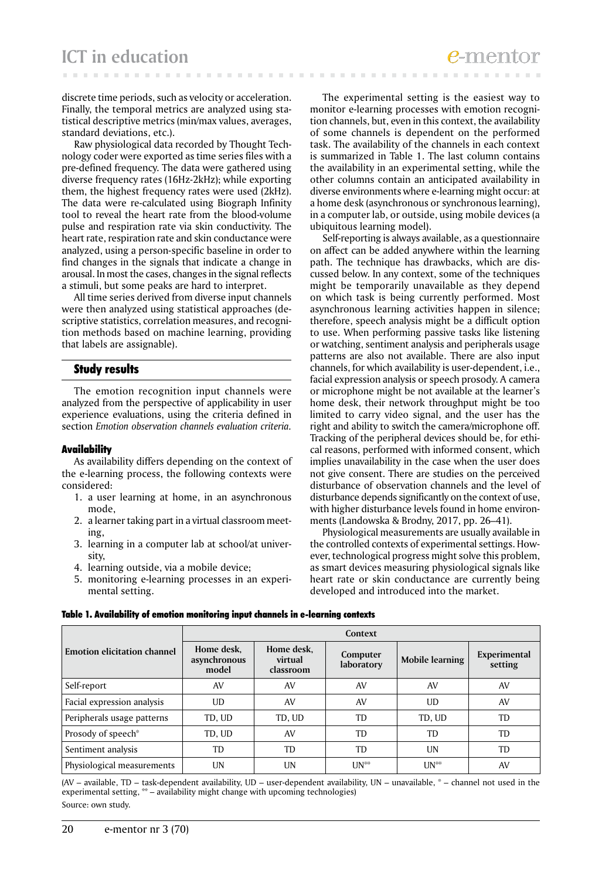discrete time periods, such as velocity or acceleration. Finally, the temporal metrics are analyzed using statistical descriptive metrics (min/max values, averages, standard deviations, etc.).

Raw physiological data recorded by Thought Technology coder were exported as time series files with a pre-defined frequency. The data were gathered using diverse frequency rates (16Hz-2kHz); while exporting them, the highest frequency rates were used (2kHz). The data were re-calculated using Biograph Infinity tool to reveal the heart rate from the blood-volume pulse and respiration rate via skin conductivity. The heart rate, respiration rate and skin conductance were analyzed, using a person-specific baseline in order to find changes in the signals that indicate a change in arousal. In most the cases, changes in the signal reflects a stimuli, but some peaks are hard to interpret.

All time series derived from diverse input channels were then analyzed using statistical approaches (descriptive statistics, correlation measures, and recognition methods based on machine learning, providing that labels are assignable).

## Study results

The emotion recognition input channels were analyzed from the perspective of applicability in user experience evaluations, using the criteria defined in section *Emotion observation channels evaluation criteria.*

#### Availability

As availability differs depending on the context of the e-learning process, the following contexts were considered:

- 1. a user learning at home, in an asynchronous mode,
- 2. a learner taking part in a virtual classroom meeting,
- 3. learning in a computer lab at school/at university,
- 4. learning outside, via a mobile device;
- 5. monitoring e-learning processes in an experimental setting.

The experimental setting is the easiest way to monitor e-learning processes with emotion recognition channels, but, even in this context, the availability of some channels is dependent on the performed task. The availability of the channels in each context is summarized in Table 1. The last column contains the availability in an experimental setting, while the other columns contain an anticipated availability in diverse environments where e-learning might occur: at a home desk (asynchronous or synchronous learning), in a computer lab, or outside, using mobile devices (a ubiquitous learning model).

Self-reporting is always available, as a questionnaire on affect can be added anywhere within the learning path. The technique has drawbacks, which are discussed below. In any context, some of the techniques might be temporarily unavailable as they depend on which task is being currently performed. Most asynchronous learning activities happen in silence; therefore, speech analysis might be a difficult option to use. When performing passive tasks like listening or watching, sentiment analysis and peripherals usage patterns are also not available. There are also input channels, for which availability is user-dependent, i.e., facial expression analysis or speech prosody. A camera or microphone might be not available at the learner's home desk, their network throughput might be too limited to carry video signal, and the user has the right and ability to switch the camera/microphone off. Tracking of the peripheral devices should be, for ethical reasons, performed with informed consent, which implies unavailability in the case when the user does not give consent. There are studies on the perceived disturbance of observation channels and the level of disturbance depends significantly on the context of use, with higher disturbance levels found in home environments (Landowska & Brodny, 2017, pp. 26–41).

Physiological measurements are usually available in the controlled contexts of experimental settings. However, technological progress might solve this problem, as smart devices measuring physiological signals like heart rate or skin conductance are currently being developed and introduced into the market.

|                                    | Context                             |                                    |                        |                 |                         |  |
|------------------------------------|-------------------------------------|------------------------------------|------------------------|-----------------|-------------------------|--|
| <b>Emotion elicitation channel</b> | Home desk,<br>asynchronous<br>model | Home desk,<br>virtual<br>classroom | Computer<br>laboratory | Mobile learning | Experimental<br>setting |  |
| Self-report                        | AV                                  | AV                                 | AV                     | AV              | AV                      |  |
| Facial expression analysis         | UD                                  | AV                                 | AV                     | UD              | AV                      |  |
| Peripherals usage patterns         | TD, UD                              | TD, UD                             | <b>TD</b>              | TD, UD          | <b>TD</b>               |  |
| Prosody of speech*                 | TD, UD                              | AV                                 | TD                     | TD              | <b>TD</b>               |  |
| Sentiment analysis                 | TD                                  | TD                                 | TD                     | UN              | TD                      |  |
| Physiological measurements         | UN                                  | UN                                 | $UN^*$                 | $UN^*$          | AV                      |  |

Table 1. Availability of emotion monitoring input channels in e-learning contexts

(AV – available, TD – task-dependent availability, UD – user-dependent availability, UN – unavailable,  $*$  – channel not used in the experimental setting, \*\* – availability might change with upcoming technologies) Source: own study.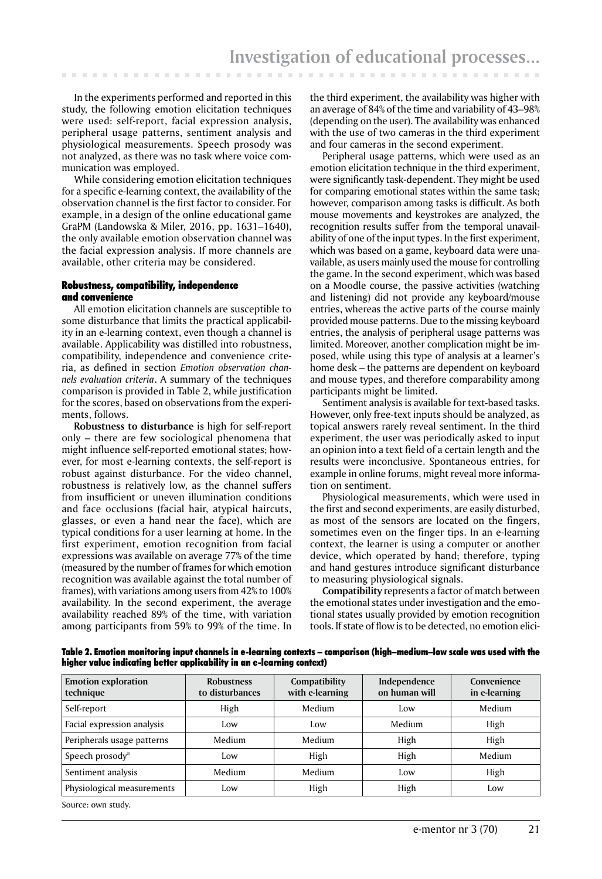In the experiments performed and reported in this study, the following emotion elicitation techniques were used: self-report, facial expression analysis, peripheral usage patterns, sentiment analysis and physiological measurements. Speech prosody was not analyzed, as there was no task where voice communication was employed.

While considering emotion elicitation techniques for a specific e-learning context, the availability of the observation channel is the first factor to consider. For example, in a design of the online educational game GraPM (Landowska & Miler, 2016, pp. 1631–1640), the only available emotion observation channel was the facial expression analysis. If more channels are available, other criteria may be considered.

## Robustness, compatibility, independence and convenience

All emotion elicitation channels are susceptible to some disturbance that limits the practical applicability in an e-learning context, even though a channel is available. Applicability was distilled into robustness, compatibility, independence and convenience criteria, as defined in section *Emotion observation channels evaluation criteria*. A summary of the techniques comparison is provided in Table 2, while justification for the scores, based on observations from the experiments, follows.

**Robustness to disturbance** is high for self-report only – there are few sociological phenomena that might influence self-reported emotional states; however, for most e-learning contexts, the self-report is robust against disturbance. For the video channel, robustness is relatively low, as the channel suffers from insufficient or uneven illumination conditions and face occlusions (facial hair, atypical haircuts, glasses, or even a hand near the face), which are typical conditions for a user learning at home. In the first experiment, emotion recognition from facial expressions was available on average 77% of the time (measured by the number of frames for which emotion recognition was available against the total number of frames), with variations among users from 42% to 100% availability. In the second experiment, the average availability reached 89% of the time, with variation among participants from 59% to 99% of the time. In

the third experiment, the availability was higher with an average of 84% of the time and variability of 43–98% (depending on the user). The availability was enhanced with the use of two cameras in the third experiment and four cameras in the second experiment.

Peripheral usage patterns, which were used as an emotion elicitation technique in the third experiment, were significantly task-dependent. They might be used for comparing emotional states within the same task; however, comparison among tasks is difficult. As both mouse movements and keystrokes are analyzed, the recognition results suffer from the temporal unavailability of one of the input types. In the first experiment, which was based on a game, keyboard data were unavailable, as users mainly used the mouse for controlling the game. In the second experiment, which was based on a Moodle course, the passive activities (watching and listening) did not provide any keyboard/mouse entries, whereas the active parts of the course mainly provided mouse patterns. Due to the missing keyboard entries, the analysis of peripheral usage patterns was limited. Moreover, another complication might be imposed, while using this type of analysis at a learner's home desk – the patterns are dependent on keyboard and mouse types, and therefore comparability among participants might be limited.

Sentiment analysis is available for text-based tasks. However, only free-text inputs should be analyzed, as topical answers rarely reveal sentiment. In the third experiment, the user was periodically asked to input an opinion into a text field of a certain length and the results were inconclusive. Spontaneous entries, for example in online forums, might reveal more information on sentiment.

Physiological measurements, which were used in the first and second experiments, are easily disturbed, as most of the sensors are located on the fingers, sometimes even on the finger tips. In an e-learning context, the learner is using a computer or another device, which operated by hand; therefore, typing and hand gestures introduce significant disturbance to measuring physiological signals.

**Compatibility** represents a factor of match between the emotional states under investigation and the emotional states usually provided by emotion recognition tools. If state of flow is to be detected, no emotion elici-

Table 2. Emotion monitoring input channels in e-learning contexts – comparison (high–medium–low scale was used with the higher value indicating better applicability in an e-learning context)

| <b>Emotion exploration</b><br>technique | <b>Robustness</b><br>to disturbances | Compatibility<br>with e-learning | Independence<br>on human will | Convenience<br>in e-learning |
|-----------------------------------------|--------------------------------------|----------------------------------|-------------------------------|------------------------------|
| Self-report                             | High                                 | Medium                           | Low                           | Medium                       |
| Facial expression analysis              | Low                                  | Low                              | Medium                        | High                         |
| Peripherals usage patterns              | Medium                               | Medium                           | High                          | High                         |
| Speech prosody*                         | Low                                  | High                             | High                          | Medium                       |
| Sentiment analysis                      | Medium                               | Medium                           | Low                           | High                         |
| Physiological measurements              | Low                                  | High                             | High                          | Low                          |

Source: own study.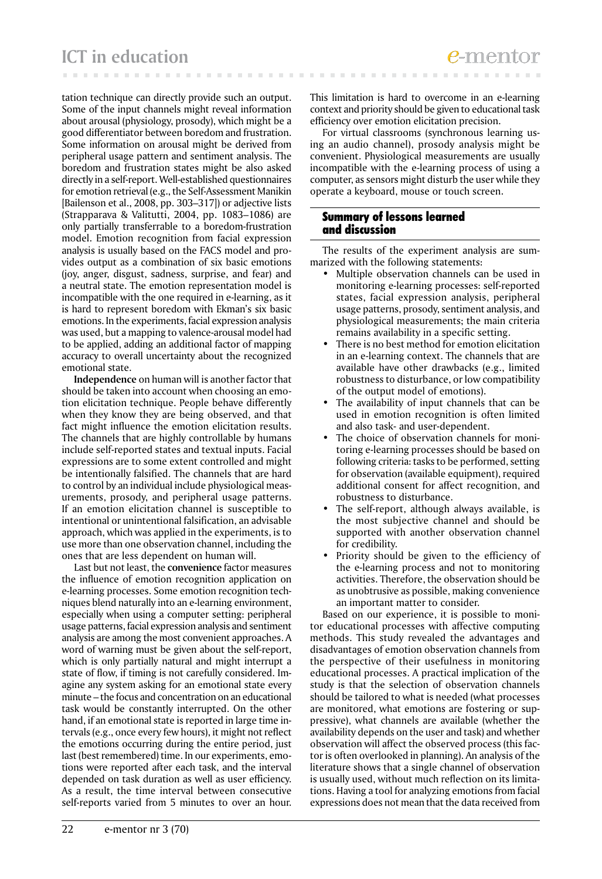tation technique can directly provide such an output. Some of the input channels might reveal information about arousal (physiology, prosody), which might be a good differentiator between boredom and frustration. Some information on arousal might be derived from peripheral usage pattern and sentiment analysis. The boredom and frustration states might be also asked directly in a self-report. Well-established questionnaires for emotion retrieval (e.g., the Self-Assessment Manikin [Bailenson et al., 2008, pp. 303–317]) or adjective lists (Strapparava & Valitutti, 2004, pp. 1083–1086) are only partially transferrable to a boredom-frustration model. Emotion recognition from facial expression analysis is usually based on the FACS model and provides output as a combination of six basic emotions (joy, anger, disgust, sadness, surprise, and fear) and a neutral state. The emotion representation model is incompatible with the one required in e-learning, as it is hard to represent boredom with Ekman's six basic emotions. In the experiments, facial expression analysis was used, but a mapping to valence-arousal model had to be applied, adding an additional factor of mapping accuracy to overall uncertainty about the recognized emotional state.

**Independence** on human will is another factor that should be taken into account when choosing an emotion elicitation technique. People behave differently when they know they are being observed, and that fact might influence the emotion elicitation results. The channels that are highly controllable by humans include self-reported states and textual inputs. Facial expressions are to some extent controlled and might be intentionally falsified. The channels that are hard to control by an individual include physiological measurements, prosody, and peripheral usage patterns. If an emotion elicitation channel is susceptible to intentional or unintentional falsification, an advisable approach, which was applied in the experiments, is to use more than one observation channel, including the ones that are less dependent on human will.

Last but not least, the **convenience** factor measures the influence of emotion recognition application on e-learning processes. Some emotion recognition techniques blend naturally into an e-learning environment, especially when using a computer setting: peripheral usage patterns, facial expression analysis and sentiment analysis are among the most convenient approaches. A word of warning must be given about the self-report, which is only partially natural and might interrupt a state of flow, if timing is not carefully considered. Imagine any system asking for an emotional state every minute – the focus and concentration on an educational task would be constantly interrupted. On the other hand, if an emotional state is reported in large time intervals (e.g., once every few hours), it might not reflect the emotions occurring during the entire period, just last (best remembered) time. In our experiments, emotions were reported after each task, and the interval depended on task duration as well as user efficiency. As a result, the time interval between consecutive self-reports varied from 5 minutes to over an hour.

This limitation is hard to overcome in an e-learning context and priority should be given to educational task efficiency over emotion elicitation precision.

For virtual classrooms (synchronous learning using an audio channel), prosody analysis might be convenient. Physiological measurements are usually incompatible with the e-learning process of using a computer, as sensors might disturb the user while they operate a keyboard, mouse or touch screen.

# Summary of lessons learned and discussion

The results of the experiment analysis are summarized with the following statements:

- Multiple observation channels can be used in monitoring e-learning processes: self-reported states, facial expression analysis, peripheral usage patterns, prosody, sentiment analysis, and physiological measurements; the main criteria remains availability in a specific setting.
- There is no best method for emotion elicitation in an e-learning context. The channels that are available have other drawbacks (e.g., limited robustness to disturbance, or low compatibility of the output model of emotions).
- The availability of input channels that can be used in emotion recognition is often limited and also task- and user-dependent.
- The choice of observation channels for monitoring e-learning processes should be based on following criteria: tasks to be performed, setting for observation (available equipment), required additional consent for affect recognition, and robustness to disturbance.
- The self-report, although always available, is the most subjective channel and should be supported with another observation channel for credibility.
- Priority should be given to the efficiency of the e-learning process and not to monitoring activities. Therefore, the observation should be as unobtrusive as possible, making convenience an important matter to consider.

Based on our experience, it is possible to monitor educational processes with affective computing methods. This study revealed the advantages and disadvantages of emotion observation channels from the perspective of their usefulness in monitoring educational processes. A practical implication of the study is that the selection of observation channels should be tailored to what is needed (what processes are monitored, what emotions are fostering or suppressive), what channels are available (whether the availability depends on the user and task) and whether observation will affect the observed process (this factor is often overlooked in planning). An analysis of the literature shows that a single channel of observation is usually used, without much reflection on its limitations. Having a tool for analyzing emotions from facial expressions does not mean that the data received from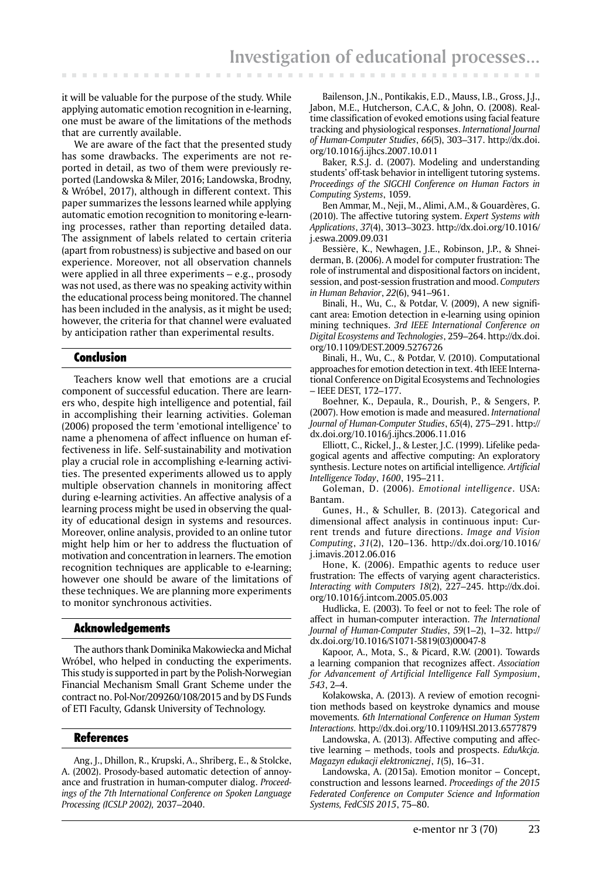it will be valuable for the purpose of the study. While applying automatic emotion recognition in e-learning, one must be aware of the limitations of the methods that are currently available.

. . . . . . .

We are aware of the fact that the presented study has some drawbacks. The experiments are not reported in detail, as two of them were previously reported (Landowska & Miler, 2016; Landowska, Brodny, & Wróbel, 2017), although in different context. This paper summarizes the lessons learned while applying automatic emotion recognition to monitoring e-learning processes, rather than reporting detailed data. The assignment of labels related to certain criteria (apart from robustness) is subjective and based on our experience. Moreover, not all observation channels were applied in all three experiments – e.g., prosody was not used, as there was no speaking activity within the educational process being monitored. The channel has been included in the analysis, as it might be used; however, the criteria for that channel were evaluated by anticipation rather than experimental results.

# Conclusion

Teachers know well that emotions are a crucial component of successful education. There are learners who, despite high intelligence and potential, fail in accomplishing their learning activities. Goleman (2006) proposed the term 'emotional intelligence' to name a phenomena of affect influence on human effectiveness in life. Self-sustainability and motivation play a crucial role in accomplishing e-learning activities. The presented experiments allowed us to apply multiple observation channels in monitoring affect during e-learning activities. An affective analysis of a learning process might be used in observing the quality of educational design in systems and resources. Moreover, online analysis, provided to an online tutor might help him or her to address the fluctuation of motivation and concentration in learners. The emotion recognition techniques are applicable to e-learning; however one should be aware of the limitations of these techniques. We are planning more experiments to monitor synchronous activities.

#### Acknowledgements

The authors thank Dominika Makowiecka and Michał Wróbel, who helped in conducting the experiments. This study is supported in part by the Polish-Norwegian Financial Mechanism Small Grant Scheme under the contract no. Pol-Nor/209260/108/2015 and by DS Funds of ETI Faculty, Gdansk University of Technology.

#### References

Ang, J., Dhillon, R., Krupski, A., Shriberg, E., & Stolcke, A. (2002). Prosody-based automatic detection of annoyance and frustration in human-computer dialog. *Proceedings of the 7th International Conference on Spoken Language Processing (ICSLP 2002),* 2037–2040.

Bailenson, J.N., Pontikakis, E.D., Mauss, I.B., Gross, J.J., Jabon, M.E., Hutcherson, C.A.C, & John, O. (2008). Realtime classification of evoked emotions using facial feature tracking and physiological responses. *International Journal of Human-Computer Studies*, *66*(5), 303–317. http://dx.doi. org/10.1016/j.ijhcs.2007.10.011

Baker, R.S.J. d. (2007). Modeling and understanding students' off-task behavior in intelligent tutoring systems. *Proceedings of the SIGCHI Conference on Human Factors in Computing Systems*, 1059.

Ben Ammar, M., Neji, M., Alimi, A.M., & Gouardères, G. (2010). The affective tutoring system. *Expert Systems with Applications*, *37*(4), 3013–3023. http://dx.doi.org/10.1016/ j.eswa.2009.09.031

Bessière, K., Newhagen, J.E., Robinson, J.P., & Shneiderman, B. (2006). A model for computer frustration: The role of instrumental and dispositional factors on incident, session, and post-session frustration and mood. *Computers in Human Behavior*, *22*(6), 941–961.

Binali, H., Wu, C., & Potdar, V. (2009), A new significant area: Emotion detection in e-learning using opinion mining techniques. *3rd IEEE International Conference on Digital Ecosystems and Technologies*, 259–264. http://dx.doi. org/10.1109/DEST.2009.5276726

Binali, H., Wu, C., & Potdar, V. (2010). Computational approaches for emotion detection in text. 4th IEEE International Conference on Digital Ecosystems and Technologies – IEEE DEST, 172–177.

Boehner, K., Depaula, R., Dourish, P., & Sengers, P. (2007). How emotion is made and measured. *International Journal of Human-Computer Studies*, *65*(4), 275–291. http:// dx.doi.org/10.1016/j.ijhcs.2006.11.016

Elliott, C., Rickel, J., & Lester, J.C. (1999). Lifelike pedagogical agents and affective computing: An exploratory synthesis. Lecture notes on artificial intelligence*. Artificial Intelligence Today*, *1600*, 195–211.

Goleman, D. (2006). *Emotional intelligence*. USA: Bantam.

Gunes, H., & Schuller, B. (2013). Categorical and dimensional affect analysis in continuous input: Current trends and future directions. *Image and Vision Computing*, *31*(2), 120–136. http://dx.doi.org/10.1016/ j.imavis.2012.06.016

Hone, K. (2006). Empathic agents to reduce user frustration: The effects of varying agent characteristics. *Interacting with Computers 18*(2), 227–245. http://dx.doi. org/10.1016/j.intcom.2005.05.003

Hudlicka, E. (2003). To feel or not to feel: The role of affect in human-computer interaction. *The International Journal of Human-Computer Studies*, *59*(1–2), 1–32. http:// dx.doi.org/10.1016/S1071-5819(03)00047-8

Kapoor, A., Mota, S., & Picard, R.W. (2001). Towards a learning companion that recognizes affect. *Association for Advancement of Artificial Intelligence Fall Symposium*, *543*, 2–4.

Kołakowska, A. (2013). A review of emotion recognition methods based on keystroke dynamics and mouse movements*. 6th International Conference on Human System Interactions.* http://dx.doi.org/10.1109/HSI.2013.6577879

Landowska, A. (2013). Affective computing and affective learning – methods, tools and prospects. *EduAkcja. Magazyn edukacji elektronicznej*, *1*(5), 16–31.

Landowska, A. (2015a). Emotion monitor – Concept, construction and lessons learned. *Proceedings of the 2015 Federated Conference on Computer Science and Information Systems, FedCSIS 2015*, 75–80.